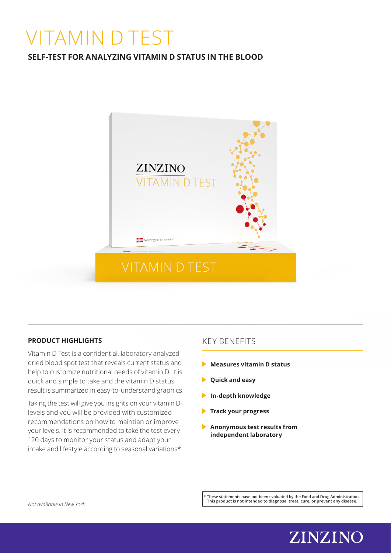# VITAMIN D TEST

# **SELF-TEST FOR ANALYZING VITAMIN D STATUS IN THE BLOOD**



## **PRODUCT HIGHLIGHTS**

Vitamin D Test is a confidential, laboratory analyzed dried blood spot test that reveals current status and help to customize nutritional needs of vitamin D. It is quick and simple to take and the vitamin D status result is summarized in easy-to-understand graphics.

Taking the test will give you insights on your vitamin Dlevels and you will be provided with customized recommendations on how to maintian or improve your levels. It is recommended to take the test every 120 days to monitor your status and adapt your intake and lifestyle according to seasonal variations\*.

# KEY BENEFITS

- **Measures vitamin D status**
- **Quick and easy**
- **In-depth knowledge**
- **Track your progress**
- **Anonymous test results from independent laboratory**

**\* These statements have not been evaluated by the Food and Drug Administration. This product is not intended to diagnose, treat, cure, or prevent any disease.** *Not available in New York.*

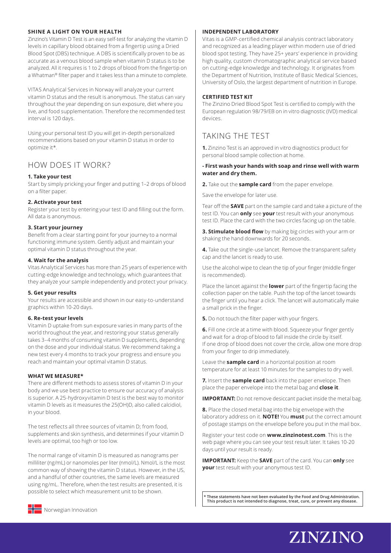#### **SHINE A LIGHT ON YOUR HEALTH**

Zinzino's Vitamin D Test is an easy self-test for analyzing the vitamin D levels in capillary blood obtained from a fingertip using a Dried Blood Spot (DBS) technique. A DBS is scientifically proven to be as accurate as a venous blood sample when vitamin D status is to be analyzed. All it requires is 1 to 2 drops of blood from the fingertip on a Whatman® filter paper and it takes less than a minute to complete.

VITAS Analytical Services in Norway will analyze your current vitamin D status and the result is anonymous. The status can vary throughout the year depending on sun exposure, diet where you live, and food supplementation. Therefore the recommended test interval is 120 days.

Using your personal test ID you will get in-depth personalized recommendations based on your vitamin D status in order to optimize it\*.

### HOW DOES IT WORK?

#### **1. Take your test**

Start by simply pricking your finger and putting 1–2 drops of blood on a filter paper.

#### **2. Activate your test**

Register your test by entering your test ID and filling out the form. All data is anonymous.

#### **3. Start your journey**

Benefit from a clear starting point for your journey to a normal functioning immune system. Gently adjust and maintain your optimal vitamin D status throughout the year.

#### **4. Wait for the analysis**

Vitas Analytical Services has more than 25 years of experience with cutting-edge knowledge and technology, which guarantees that they analyze your sample independently and protect your privacy.

#### **5. Get your results**

Your results are accessible and shown in our easy-to-understand graphics within 10-20 days.

#### **6. Re-test your levels**

Vitamin D uptake from sun exposure varies in many parts of the world throughout the year, and restoring your status generally takes 3–4 months of consuming vitamin D supplements, depending on the dose and your individual status. We recommend taking a new test every 4 months to track your progress and ensure you reach and maintain your optimal vitamin D status.

#### **WHAT WE MEASURE\***

There are different methods to assess stores of vitamin D in your body and we use best practice to ensure our accuracy of analysis is superior. A 25-hydroxyvitamin D test is the best way to monitor vitamin D levels as it measures the 25(OH)D, also called calcidiol, in your blood.

The test reflects all three sources of vitamin D; from food, supplements and skin synthesis, and determines if your vitamin D levels are optimal, too high or too low.

The normal range of vitamin D is measured as nanograms per milliliter (ng/mL) or nanomoles per liter (nmol/L). Nmol/L is the most common way of showing the vitamin D status. However, in the US, and a handful of other countries, the same levels are measured using ng/mL. Therefore, when the test results are presented, it is possible to select which measurement unit to be shown.

#### **INDEPENDENT LABORATORY**

Vitas is a GMP-certified chemical analysis contract laboratory and recognized as a leading player within modern use of dried blood spot testing. They have 25+ years' experience in providing high quality, custom chromatographic analytical service based on cutting-edge knowledge and technology. It originates from the Department of Nutrition, Institute of Basic Medical Sciences, University of Oslo, the largest department of nutrition in Europe.

#### **CERTIFIED TEST KIT**

The Zinzino Dried Blood Spot Test is certified to comply with the European regulation 98/79/EB on in vitro diagnostic (IVD) medical devices.

# TAKING THE TEST

**1.** Zinzino Test is an approved in vitro diagnostics product for personal blood sample collection at home.

#### **- First wash your hands with soap and rinse well with warm water and dry them.**

**2.** Take out the **sample card** from the paper envelope.

Save the envelope for later use.

Tear off the **SAVE** part on the sample card and take a picture of the test ID. You can **only** see **your** test result with your anonymous test ID. Place the card with the two circles facing up on the table.

**3. Stimulate blood flow** by making big circles with your arm or shaking the hand downwards for 20 seconds.

**4.** Take out the single-use lancet. Remove the transparent safety cap and the lancet is ready to use.

Use the alcohol wipe to clean the tip of your finger (middle finger is recommended).

Place the lancet against the **lower** part of the fingertip facing the collection paper on the table. Push the top of the lancet towards the finger until you hear a click. The lancet will automatically make a small prick in the finger.

**5.** Do not touch the filter paper with your fingers.

**6.** Fill one circle at a time with blood. Squeeze your finger gently and wait for a drop of blood to fall inside the circle by itself. If one drop of blood does not cover the circle, allow one more drop from your finger to drip immediately.

Leave the **sample card** in a horizontal position at room temperature for at least 10 minutes for the samples to dry well.

**7.** Insert the **sample card** back into the paper envelope. Then place the paper envelope into the metal bag and **close it**.

**IMPORTANT:** Do not remove desiccant packet inside the metal bag.

**8.** Place the closed metal bag into the big envelope with the laboratory address on it. **NOTE!** You **must** put the correct amount of postage stamps on the envelope before you put in the mail box.

Register your test code on **www.zinzinotest.com**. This is the web page where you can see your test result later. It takes 10-20 days until your result is ready.

**IMPORTANT:** Keep the **SAVE** part of the card. You can **only** see **your** test result with your anonymous test ID.

**\* These statements have not been evaluated by the Food and Drug Administration. This product is not intended to diagnose, treat, cure, or prevent any disease.**

**ZINZINO**